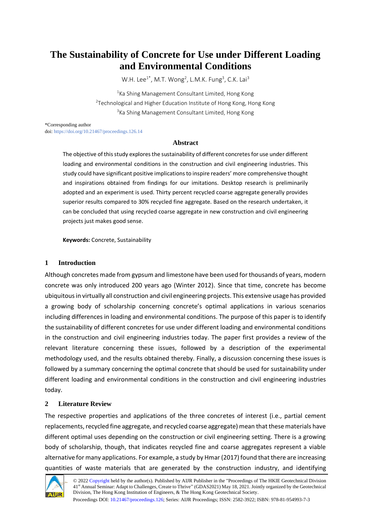# **The Sustainability of Concrete for Use under Different Loading and Environmental Conditions**

W.H. Lee $^{1*}$ , M.T. Wong<sup>2</sup>, L.M.K. Fung<sup>3</sup>, C.K. Lai<sup>3</sup>

<sup>1</sup>Ka Shing Management Consultant Limited, Hong Kong <sup>2</sup>Technological and Higher Education Institute of Hong Kong, Hong Kong <sup>3</sup>Ka Shing Management Consultant Limited, Hong Kong

\*Corresponding author

doi[: https://doi.org/10.21467/proceedings.126.14](https://doi.org/10.21467/proceedings.126.14)

#### **Abstract**

The objective of this study explores the sustainability of different concretes for use under different loading and environmental conditions in the construction and civil engineering industries. This study could have significant positive implications to inspire readers' more comprehensive thought and inspirations obtained from findings for our imitations. Desktop research is preliminarily adopted and an experiment is used. Thirty percent recycled coarse aggregate generally provides superior results compared to 30% recycled fine aggregate. Based on the research undertaken, it can be concluded that using recycled coarse aggregate in new construction and civil engineering projects just makes good sense.

**Keywords:** Concrete, Sustainability

## **1 Introduction**

Although concretes made from gypsum and limestone have been used for thousands of years, modern concrete was only introduced 200 years ago (Winter 2012). Since that time, concrete has become ubiquitous in virtually all construction and civil engineering projects. This extensive usage has provided a growing body of scholarship concerning concrete's optimal applications in various scenarios including differences in loading and environmental conditions. The purpose of this paper is to identify the sustainability of different concretes for use under different loading and environmental conditions in the construction and civil engineering industries today. The paper first provides a review of the relevant literature concerning these issues, followed by a description of the experimental methodology used, and the results obtained thereby. Finally, a discussion concerning these issues is followed by a summary concerning the optimal concrete that should be used for sustainability under different loading and environmental conditions in the construction and civil engineering industries today.

# **2 Literature Review**

The respective properties and applications of the three concretes of interest (i.e., partial cement replacements, recycled fine aggregate, and recycled coarse aggregate) mean that these materials have different optimal uses depending on the construction or civil engineering setting. There is a growing body of scholarship, though, that indicates recycled fine and coarse aggregates represent a viable alternative for many applications. For example, a study by Hmar (2017) found that there are increasing quantities of waste materials that are generated by the construction industry, and identifying



Proceedings DOI[: 10.21467/proceedings.126;](https://doi.org/10.21467/proceedings.126) Series: AIJR Proceedings; ISSN: 2582-3922; ISBN: 978-81-954993-7-3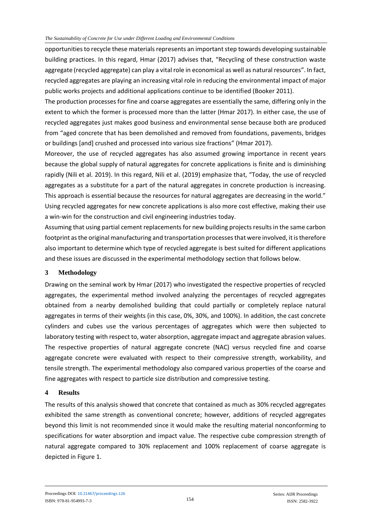#### *The Sustainability of Concrete for Use under Different Loading and Environmental Conditions*

opportunities to recycle these materials represents an important step towards developing sustainable building practices. In this regard, Hmar (2017) advises that, "Recycling of these construction waste aggregate (recycled aggregate) can play a vital role in economical as well as natural resources". In fact, recycled aggregates are playing an increasing vital role in reducing the environmental impact of major public works projects and additional applications continue to be identified (Booker 2011).

The production processes for fine and coarse aggregates are essentially the same, differing only in the extent to which the former is processed more than the latter (Hmar 2017). In either case, the use of recycled aggregates just makes good business and environmental sense because both are produced from "aged concrete that has been demolished and removed from foundations, pavements, bridges or buildings [and] crushed and processed into various size fractions" (Hmar 2017).

Moreover, the use of recycled aggregates has also assumed growing importance in recent years because the global supply of natural aggregates for concrete applications is finite and is diminishing rapidly (Nili et al. 2019). In this regard, Nili et al. (2019) emphasize that, "Today, the use of recycled aggregates as a substitute for a part of the natural aggregates in concrete production is increasing. This approach is essential because the resources for natural aggregates are decreasing in the world." Using recycled aggregates for new concrete applications is also more cost effective, making their use a win-win for the construction and civil engineering industries today.

Assuming that using partial cement replacements for new building projects results in the same carbon footprint as the original manufacturing and transportation processes that were involved, it is therefore also important to determine which type of recycled aggregate is best suited for different applications and these issues are discussed in the experimental methodology section that follows below.

### **3 Methodology**

Drawing on the seminal work by Hmar (2017) who investigated the respective properties of recycled aggregates, the experimental method involved analyzing the percentages of recycled aggregates obtained from a nearby demolished building that could partially or completely replace natural aggregates in terms of their weights (in this case, 0%, 30%, and 100%). In addition, the cast concrete cylinders and cubes use the various percentages of aggregates which were then subjected to laboratory testing with respect to, water absorption, aggregate impact and aggregate abrasion values. The respective properties of natural aggregate concrete (NAC) versus recycled fine and coarse aggregate concrete were evaluated with respect to their compressive strength, workability, and tensile strength. The experimental methodology also compared various properties of the coarse and fine aggregates with respect to particle size distribution and compressive testing.

### **4 Results**

The results of this analysis showed that concrete that contained as much as 30% recycled aggregates exhibited the same strength as conventional concrete; however, additions of recycled aggregates beyond this limit is not recommended since it would make the resulting material nonconforming to specifications for water absorption and impact value. The respective cube compression strength of natural aggregate compared to 30% replacement and 100% replacement of coarse aggregate is depicted in Figure 1.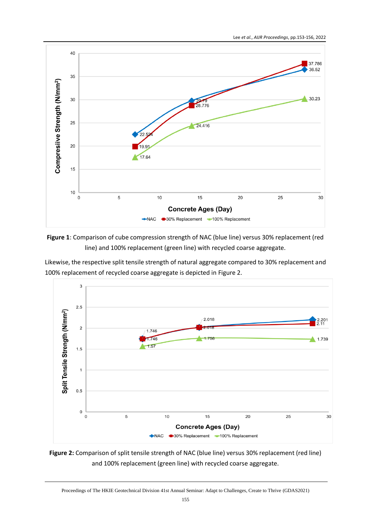



Likewise, the respective split tensile strength of natural aggregate compared to 30% replacement and 100% replacement of recycled coarse aggregate is depicted in Figure 2.



**Figure 2:** Comparison of split tensile strength of NAC (blue line) versus 30% replacement (red line) and 100% replacement (green line) with recycled coarse aggregate.